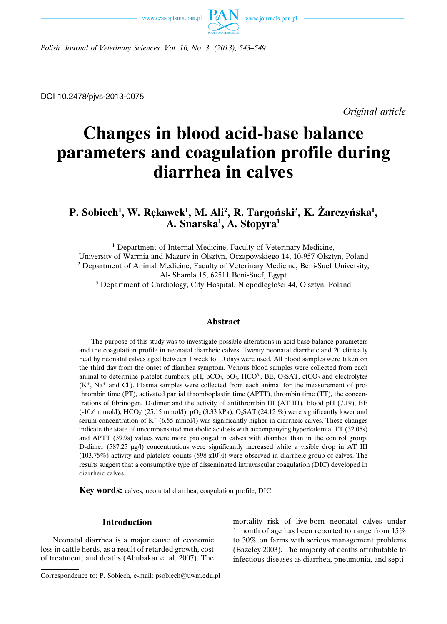



*Polish Journal of Veterinary Sciences Vol. 16, No. 3 (2013), 543–549*

DOI 10.2478/pjvs-2013-0075

*Original article*

# **Changes in blood acid-base balance parameters and coagulation profile during diarrhea in calves**

# **P.** Sobiech<sup>1</sup>, W. Rękawek<sup>1</sup>, M. Ali<sup>2</sup>, R. Targoński<sup>3</sup>, K. Żarczyńska<sup>1</sup>, **A. Snarska1 , A. Stopyra1**

<sup>1</sup> Department of Internal Medicine, Faculty of Veterinary Medicine, University of Warmia and Mazury in Olsztyn, Oczapowskiego 14, 10-957 Olsztyn, Poland <sup>2</sup> Department of Animal Medicine, Faculty of Veterinary Medicine, Beni-Suef University, Al- Shamla 15, 62511 Beni-Suef, Egypt

<sup>3</sup> Department of Cardiology, City Hospital, Niepodległości 44, Olsztyn, Poland

## **Abstract**

The purpose of this study was to investigate possible alterations in acid-base balance parameters and the coagulation profile in neonatal diarrheic calves. Twenty neonatal diarrheic and 20 clinically healthy neonatal calves aged between 1 week to 10 days were used. All blood samples were taken on the third day from the onset of diarrhea symptom. Venous blood samples were collected from each animal to determine platelet numbers, pH,  $pCO<sub>2</sub>$ ,  $pO<sub>2</sub>$ ,  $HCO<sup>3</sup>$ , BE,  $O<sub>2</sub>SAT$ , ctCO<sub>2</sub> and electrolytes  $(K<sup>+</sup>, Na<sup>+</sup>$  and Cl<sup>-</sup>). Plasma samples were collected from each animal for the measurement of prothrombin time (PT), activated partial thromboplastin time (APTT), thrombin time (TT), the concentrations of fibrinogen, D-dimer and the activity of antithrombin III (AT III). Blood pH (7.19), BE  $(-10.6 \text{ mmol/l})$ , HCO<sub>3</sub> (25.15 mmol/l), pO<sub>2</sub> (3.33 kPa), O<sub>2</sub>SAT (24.12 %) were significantly lower and serum concentration of  $K^+$  (6.55 mmol/l) was significantly higher in diarrheic calves. These changes indicate the state of uncompensated metabolic acidosis with accompanying hyperkalemia. TT (32.05s) and APTT (39.9s) values were more prolonged in calves with diarrhea than in the control group. D-dimer (587.25 μg/l) concentrations were significantly increased while a visible drop in AT III  $(103.75%)$  activity and platelets counts  $(598 \times 10^{9}/)$  were observed in diarrheic group of calves. The results suggest that a consumptive type of disseminated intravascular coagulation (DIC) developed in diarrheic calves.

**Key words:** calves, neonatal diarrhea, coagulation profile, DIC

## **Introduction**

Neonatal diarrhea is a major cause of economic loss in cattle herds, as a result of retarded growth, cost of treatment, and deaths (Abubakar et al. 2007). The

mortality risk of live-born neonatal calves under 1 month of age has been reported to range from 15% to 30% on farms with serious management problems (Bazeley 2003). The majority of deaths attributable to infectious diseases as diarrhea, pneumonia, and septi-

Correspondence to: P. Sobiech, e-mail: psobiech@uwm.edu.pl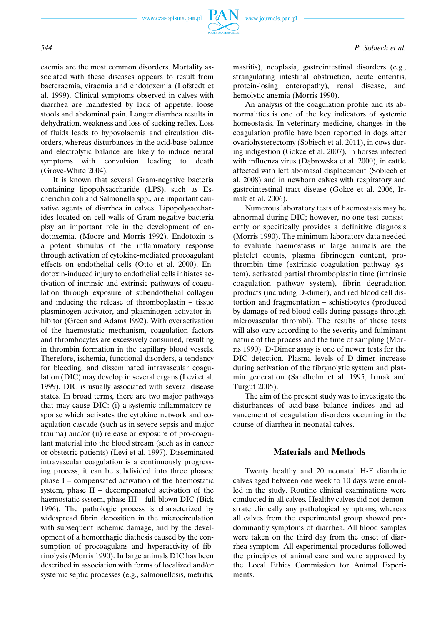caemia are the most common disorders. Mortality associated with these diseases appears to result from bacteraemia, viraemia and endotoxemia (Lofstedt et al. 1999). Clinical symptoms observed in calves with diarrhea are manifested by lack of appetite, loose stools and abdominal pain. Longer diarrhea results in dehydration, weakness and loss of sucking reflex. Loss of fluids leads to hypovolaemia and circulation disorders, whereas disturbances in the acid-base balance and electrolytic balance are likely to induce neural symptoms with convulsion leading to death (Grove-White 2004).

It is known that several Gram-negative bacteria containing lipopolysaccharide (LPS), such as Escherichia coli and Salmonella spp., are important causative agents of diarrhea in calves. Lipopolysaccharides located on cell walls of Gram-negative bacteria play an important role in the development of endotoxemia. (Moore and Morris 1992). Endotoxin is a potent stimulus of the inflammatory response through activation of cytokine-mediated procoagulant effects on endothelial cells (Otto et al. 2000). Endotoxin-induced injury to endothelial cells initiates activation of intrinsic and extrinsic pathways of coagulation through exposure of subendothelial collagen and inducing the release of thromboplastin – tissue plasminogen activator, and plasminogen activator inhibitor (Green and Adams 1992). With overactivation of the haemostatic mechanism, coagulation factors and thrombocytes are excessively consumed, resulting in thrombin formation in the capillary blood vessels. Therefore, ischemia, functional disorders, a tendency for bleeding, and disseminated intravascular coagulation (DIC) may develop in several organs (Levi et al. 1999). DIC is usually associated with several disease states. In broad terms, there are two major pathways that may cause DIC: (i) a systemic inflammatory response which activates the cytokine network and coagulation cascade (such as in severe sepsis and major trauma) and/or (ii) release or exposure of pro-coagulant material into the blood stream (such as in cancer or obstetric patients) (Levi et al. 1997). Disseminated intravascular coagulation is a continuously progressing process, it can be subdivided into three phases: phase I – compensated activation of the haemostatic system, phase II – decompensated activation of the haemostatic system, phase III – full-blown DIC (Bick 1996). The pathologic process is characterized by widespread fibrin deposition in the microcirculation with subsequent ischemic damage, and by the development of a hemorrhagic diathesis caused by the consumption of procoagulans and hyperactivity of fibrinolysis (Morris 1990). In large animals DIC has been described in association with forms of localized and/or systemic septic processes (e.g., salmonellosis, metritis, mastitis), neoplasia, gastrointestinal disorders (e.g., strangulating intestinal obstruction, acute enteritis, protein-losing enteropathy), renal disease, and hemolytic anemia (Morris 1990).

An analysis of the coagulation profile and its abnormalities is one of the key indicators of systemic homeostasis. In veterinary medicine, changes in the coagulation profile have been reported in dogs after ovariohysterectomy (Sobiech et al. 2011), in cows during indigestion (Gokce et al. 2007), in horses infected with influenza virus (Dąbrowska et al. 2000), in cattle affected with left abomasal displacement (Sobiech et al. 2008) and in newborn calves with respiratory and gastrointestinal tract disease (Gokce et al. 2006, Irmak et al. 2006).

Numerous laboratory tests of haemostasis may be abnormal during DIC; however, no one test consistently or specifically provides a definitive diagnosis (Morris 1990). The minimum laboratory data needed to evaluate haemostasis in large animals are the platelet counts, plasma fibrinogen content, prothrombin time (extrinsic coagulation pathway system), activated partial thromboplastin time (intrinsic coagulation pathway system), fibrin degradation products (including D-dimer), and red blood cell distortion and fragmentation – schistiocytes (produced by damage of red blood cells during passage through microvascular thrombi). The results of these tests will also vary according to the severity and fulminant nature of the process and the time of sampling (Morris 1990). D-Dimer assay is one of newer tests for the DIC detection. Plasma levels of D-dimer increase during activation of the fibrynolytic system and plasmin generation (Sandholm et al. 1995, Irmak and Turgut 2005).

The aim of the present study was to investigate the disturbances of acid-base balance indices and advancement of coagulation disorders occurring in the course of diarrhea in neonatal calves.

# **Materials and Methods**

Twenty healthy and 20 neonatal H-F diarrheic calves aged between one week to 10 days were enrolled in the study. Routine clinical examinations were conducted in all calves. Healthy calves did not demonstrate clinically any pathological symptoms, whereas all calves from the experimental group showed predominantly symptoms of diarrhea. All blood samples were taken on the third day from the onset of diarrhea symptom. All experimental procedures followed the principles of animal care and were approved by the Local Ethics Commission for Animal Experiments.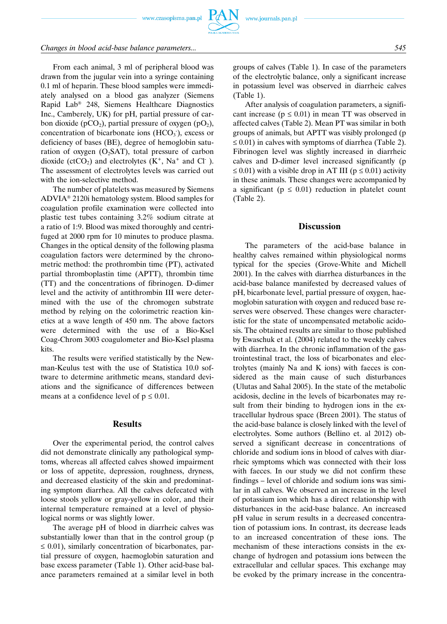www.czasopisma.pan.pl

# *Changes in blood acid-base balance parameters... 545*

From each animal, 3 ml of peripheral blood was drawn from the jugular vein into a syringe containing 0.1 ml of heparin. These blood samples were immediately analysed on a blood gas analyzer (Siemens Rapid Lab® 248, Siemens Healthcare Diagnostics Inc., Camberely, UK) for pH, partial pressure of carbon dioxide (pCO<sub>2</sub>), partial pressure of oxygen (pO<sub>2</sub>), concentration of bicarbonate ions  $(HCO<sub>3</sub>)$ , excess or deficiency of bases (BE), degree of hemoglobin saturation of oxygen  $(O_2SAT)$ , total pressure of carbon dioxide (ctCO<sub>2</sub>) and electrolytes  $(K^+$ , Na<sup>+</sup> and Cl<sup>-</sup>). The assessment of electrolytes levels was carried out with the ion-selective method.

The number of platelets was measured by Siemens ADVIA® 2120i hematology system. Blood samples for coagulation profile examination were collected into plastic test tubes containing 3.2% sodium citrate at a ratio of 1:9. Blood was mixed thoroughly and centrifuged at 2000 rpm for 10 minutes to produce plasma. Changes in the optical density of the following plasma coagulation factors were determined by the chronometric method: the prothrombin time (PT), activated partial thromboplastin time (APTT), thrombin time (TT) and the concentrations of fibrinogen. D-dimer level and the activity of antithrombin III were determined with the use of the chromogen substrate method by relying on the colorimetric reaction kinetics at a wave length of 450 nm. The above factors were determined with the use of a Bio-Ksel Coag-Chrom 3003 coagulometer and Bio-Ksel plasma kits.

The results were verified statistically by the Newman-Keulus test with the use of Statistica 10.0 software to determine arithmetic means, standard deviations and the significance of differences between means at a confidence level of  $p \le 0.01$ .

#### **Results**

Over the experimental period, the control calves did not demonstrate clinically any pathological symptoms, whereas all affected calves showed impairment or loss of appetite, depression, roughness, dryness, and decreased elasticity of the skin and predominating symptom diarrhea. All the calves defecated with loose stools yellow or gray-yellow in color, and their internal temperature remained at a level of physiological norms or was slightly lower.

The average pH of blood in diarrheic calves was substantially lower than that in the control group (p  $\leq$  0.01), similarly concentration of bicarbonates, partial pressure of oxygen, haemoglobin saturation and base excess parameter (Table 1). Other acid-base balance parameters remained at a similar level in both groups of calves (Table 1). In case of the parameters of the electrolytic balance, only a significant increase in potassium level was observed in diarrheic calves (Table 1).

After analysis of coagulation parameters, a significant increase ( $p \leq 0.01$ ) in mean TT was observed in affected calves (Table 2). Mean PT was similar in both groups of animals, but APTT was visibly prolonged (p  $\leq$  0.01) in calves with symptoms of diarrhea (Table 2). Fibrinogen level was slightly increased in diarrheic calves and D-dimer level increased significantly (p  $\leq$  0.01) with a visible drop in AT III ( $p \leq 0.01$ ) activity in these animals. These changes were accompanied by a significant ( $p \leq 0.01$ ) reduction in platelet count (Table 2).

#### **Discussion**

The parameters of the acid-base balance in healthy calves remained within physiological norms typical for the species (Grove-White and Michell 2001). In the calves with diarrhea disturbances in the acid-base balance manifested by decreased values of pH, bicarbonate level, partial pressure of oxygen, haemoglobin saturation with oxygen and reduced base reserves were observed. These changes were characteristic for the state of uncompensated metabolic acidosis. The obtained results are similar to those published by Ewaschuk et al. (2004) related to the weekly calves with diarrhea. In the chronic inflammation of the gastrointestinal tract, the loss of bicarbonates and electrolytes (mainly Na and K ions) with faeces is considered as the main cause of such disturbances (Ulutas and Sahal 2005). In the state of the metabolic acidosis, decline in the levels of bicarbonates may result from their binding to hydrogen ions in the extracellular hydrous space (Breen 2001). The status of the acid-base balance is closely linked with the level of electrolytes. Some authors (Bellino et. al 2012) observed a significant decrease in concentrations of chloride and sodium ions in blood of calves with diarrheic symptoms which was connected with their loss with faeces. In our study we did not confirm these findings – level of chloride and sodium ions was similar in all calves. We observed an increase in the level of potassium ion which has a direct relationship with disturbances in the acid-base balance. An increased pH value in serum results in a decreased concentration of potassium ions. In contrast, its decrease leads to an increased concentration of these ions. The mechanism of these interactions consists in the exchange of hydrogen and potassium ions between the extracellular and cellular spaces. This exchange may be evoked by the primary increase in the concentra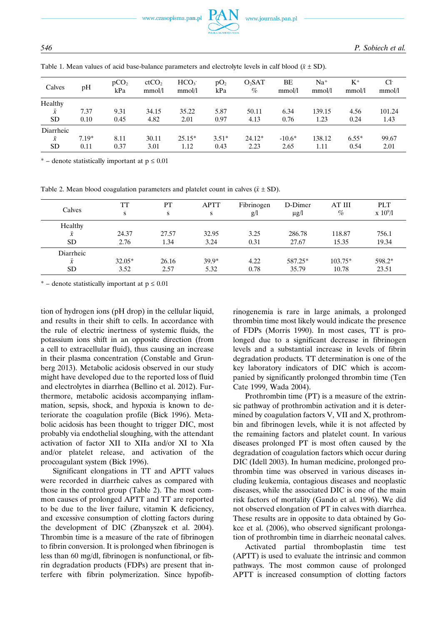www.czasopisma.pan.pl



| Calves    | pH      | pCO <sub>2</sub><br>kPa | ctCO <sub>2</sub><br>mmol/l | HCO <sub>3</sub><br>mmol/l | pO <sub>2</sub><br>kPa | O <sub>2</sub> SAT<br>$\%$ | BΕ<br>mmol/l | $Na+$<br>mmol/l | $K^+$<br>mmol/l | $Cl^-$<br>mmol/l |
|-----------|---------|-------------------------|-----------------------------|----------------------------|------------------------|----------------------------|--------------|-----------------|-----------------|------------------|
| Healthy   |         |                         |                             |                            |                        |                            |              |                 |                 |                  |
| $\bar{x}$ | 7.37    | 9.31                    | 34.15                       | 35.22                      | 5.87                   | 50.11                      | 6.34         | 139.15          | 4.56            | 101.24           |
| <b>SD</b> | 0.10    | 0.45                    | 4.82                        | 2.01                       | 0.97                   | 4.13                       | 0.76         | 1.23            | 0.24            | 1.43             |
| Diarrheic |         |                         |                             |                            |                        |                            |              |                 |                 |                  |
| $\bar{x}$ | $7.19*$ | 8.11                    | 30.11                       | $25.15*$                   | $3.51*$                | 24.12*                     | $-10.6*$     | 138.12          | $6.55*$         | 99.67            |
| <b>SD</b> | 0.11    | 0.37                    | 3.01                        | 1.12                       | 0.43                   | 2.23                       | 2.65         | 1.11            | 0.54            | 2.01             |

Table 1. Mean values of acid base-balance parameters and electrolyte levels in calf blood  $(\bar{x} \pm SD)$ .

\* – denote statistically important at  $p \le 0.01$ 

Table 2. Mean blood coagulation parameters and platelet count in calves  $(\bar{x} \pm SD)$ .

| Calves                              | <b>TT</b><br>S   | PT<br>S       | <b>APTT</b><br>S | Fibrinogen<br>g/l | D-Dimer<br>$\mu$ g/l | AT III<br>$\%$     | <b>PLT</b><br>$\boldsymbol{\mathrm{x}}$ 10 <sup>9</sup> /l |
|-------------------------------------|------------------|---------------|------------------|-------------------|----------------------|--------------------|------------------------------------------------------------|
| Healthy<br>$\bar{x}$<br><b>SD</b>   | 24.37<br>2.76    | 27.57<br>1.34 | 32.95<br>3.24    | 3.25<br>0.31      | 286.78<br>27.67      | 118.87<br>15.35    | 756.1<br>19.34                                             |
| Diarrheic<br>$\bar{x}$<br><b>SD</b> | $32.05*$<br>3.52 | 26.16<br>2.57 | $39.9*$<br>5.32  | 4.22<br>0.78      | 587.25*<br>35.79     | $103.75*$<br>10.78 | 598.2*<br>23.51                                            |

\* – denote statistically important at  $p \le 0.01$ 

tion of hydrogen ions (pH drop) in the cellular liquid, and results in their shift to cells. In accordance with the rule of electric inertness of systemic fluids, the potassium ions shift in an opposite direction (from a cell to extracellular fluid), thus causing an increase in their plasma concentration (Constable and Grunberg 2013). Metabolic acidosis observed in our study might have developed due to the reported loss of fluid and electrolytes in diarrhea (Bellino et al. 2012). Furthermore, metabolic acidosis accompanying inflammation, sepsis, shock, and hypoxia is known to deteriorate the coagulation profile (Bick 1996). Metabolic acidosis has been thought to trigger DIC, most probably via endothelial sloughing, with the attendant activation of factor XII to XIIa and/or XI to XIa and/or platelet release, and activation of the procoagulant system (Bick 1996).

Significant elongations in TT and APTT values were recorded in diarrheic calves as compared with those in the control group (Table 2). The most common causes of prolonged APTT and TT are reported to be due to the liver failure, vitamin K deficiency, and excessive consumption of clotting factors during the development of DIC (Zbanyszek et al. 2004). Thrombin time is a measure of the rate of fibrinogen to fibrin conversion. It is prolonged when fibrinogen is less than 60 mg/dl, fibrinogen is nonfunctional, or fibrin degradation products (FDPs) are present that interfere with fibrin polymerization. Since hypofibrinogenemia is rare in large animals, a prolonged thrombin time most likely would indicate the presence of FDPs (Morris 1990). In most cases, TT is prolonged due to a significant decrease in fibrinogen levels and a substantial increase in levels of fibrin degradation products. TT determination is one of the key laboratory indicators of DIC which is accompanied by significantly prolonged thrombin time (Ten Cate 1999, Wada 2004).

Prothrombin time (PT) is a measure of the extrinsic pathway of prothrombin activation and it is determined by coagulation factors V, VII and X, prothrombin and fibrinogen levels, while it is not affected by the remaining factors and platelet count. In various diseases prolonged PT is most often caused by the degradation of coagulation factors which occur during DIC (Idell 2003). In human medicine, prolonged prothrombin time was observed in various diseases including leukemia, contagious diseases and neoplastic diseases, while the associated DIC is one of the main risk factors of mortality (Gando et al. 1996). We did not observed elongation of PT in calves with diarrhea. These results are in opposite to data obtained by Gokce et al. (2006), who observed significant prolongation of prothrombin time in diarrheic neonatal calves.

Activated partial thromboplastin time test (APTT) is used to evaluate the intrinsic and common pathways. The most common cause of prolonged APTT is increased consumption of clotting factors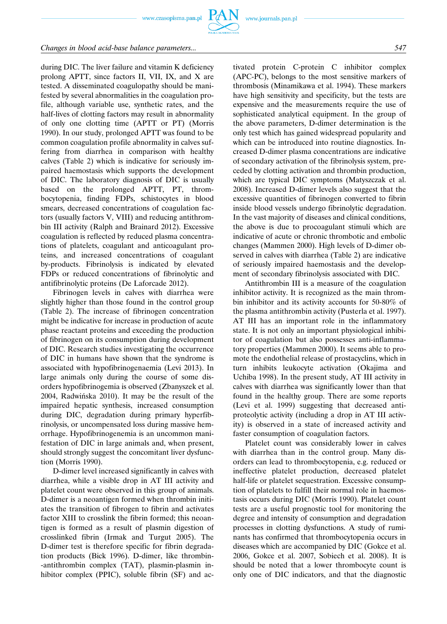# *Changes in blood acid-base balance parameters... 547*

during DIC. The liver failure and vitamin K deficiency prolong APTT, since factors II, VII, IX, and X are tested. A disseminated coagulopathy should be manifested by several abnormalities in the coagulation profile, although variable use, synthetic rates, and the half-lives of clotting factors may result in abnormality of only one clotting time (APTT or PT) (Morris 1990). In our study, prolonged APTT was found to be common coagulation profile abnormality in calves suffering from diarrhea in comparison with healthy calves (Table 2) which is indicative for seriously impaired haemostasis which supports the development of DIC. The laboratory diagnosis of DIC is usually based on the prolonged APTT, PT, thrombocytopenia, finding FDPs, schistocytes in blood smears, decreased concentrations of coagulation factors (usually factors V, VIII) and reducing antithrombin III activity (Ralph and Brainard 2012). Excessive coagulation is reflected by reduced plasma concentrations of platelets, coagulant and anticoagulant proteins, and increased concentrations of coagulant by-products. Fibrinolysis is indicated by elevated FDPs or reduced concentrations of fibrinolytic and antifibrinolytic proteins (De Laforcade 2012).

Fibrinogen levels in calves with diarrhea were slightly higher than those found in the control group (Table 2). The increase of fibrinogen concentration might be indicative for increase in production of acute phase reactant proteins and exceeding the production of fibrinogen on its consumption during development of DIC. Research studies investigating the occurrence of DIC in humans have shown that the syndrome is associated with hypofibrinogenaemia (Levi 2013). In large animals only during the course of some disorders hypofibrinogemia is observed (Zbanyszek et al. 2004, Radwińska 2010). It may be the result of the impaired hepatic synthesis, increased consumption during DIC, degradation during primary hyperfibrinolysis, or uncompensated loss during massive hemorrhage. Hypofibrinogenemia is an uncommon manifestation of DIC in large animals and, when present, should strongly suggest the concomitant liver dysfunction (Morris 1990).

D-dimer level increased significantly in calves with diarrhea, while a visible drop in AT III activity and platelet count were observed in this group of animals. D-dimer is a neoantigen formed when thrombin initiates the transition of fibrogen to fibrin and activates factor XIII to crosslink the fibrin formed; this neoantigen is formed as a result of plasmin digestion of crosslinked fibrin (Irmak and Turgut 2005). The D-dimer test is therefore specific for fibrin degradation products (Bick 1996). D-dimer, like thrombin- -antithrombin complex (TAT), plasmin-plasmin inhibitor complex (PPIC), soluble fibrin (SF) and activated protein C-protein C inhibitor complex (APC-PC), belongs to the most sensitive markers of thrombosis (Minamikawa et al. 1994). These markers have high sensitivity and specificity, but the tests are expensive and the measurements require the use of sophisticated analytical equipment. In the group of the above parameters, D-dimer determination is the only test which has gained widespread popularity and which can be introduced into routine diagnostics. Increased D-dimer plasma concentrations are indicative of secondary activation of the fibrinolysis system, preceded by clotting activation and thrombin production, which are typical DIC symptoms (Matyszczak et al. 2008). Increased D-dimer levels also suggest that the excessive quantities of fibrinogen converted to fibrin inside blood vessels undergo fibrinolytic degradation. In the vast majority of diseases and clinical conditions, the above is due to procoagulant stimuli which are indicative of acute or chronic thrombotic and embolic changes (Mammen 2000). High levels of D-dimer observed in calves with diarrhea (Table 2) are indicative of seriously impaired haemostasis and the development of secondary fibrinolysis associated with DIC.

Antithrombin III is a measure of the coagulation inhibitor activity. It is recognized as the main thrombin inhibitor and its activity accounts for 50-80% of the plasma antithrombin activity (Pusterla et al. 1997). AT III has an important role in the inflammatory state. It is not only an important physiological inhibitor of coagulation but also possesses anti-inflammatory properties (Mammen 2000). It seems able to promote the endothelial release of prostacyclins, which in turn inhibits leukocyte activation (Okajima and Uchiba 1998). In the present study, AT III activity in calves with diarrhea was significantly lower than that found in the healthy group. There are some reports (Levi et al. 1999) suggesting that decreased antiproteolytic activity (including a drop in AT III activity) is observed in a state of increased activity and faster consumption of coagulation factors.

Platelet count was considerably lower in calves with diarrhea than in the control group. Many disorders can lead to thrombocytopenia, e.g. reduced or ineffective platelet production, decreased platelet half-life or platelet sequestration. Excessive consumption of platelets to fulfill their normal role in haemostasis occurs during DIC (Morris 1990). Platelet count tests are a useful prognostic tool for monitoring the degree and intensity of consumption and degradation processes in clotting dysfunctions. A study of ruminants has confirmed that thrombocytopenia occurs in diseases which are accompanied by DIC (Gokce et al. 2006, Gokce et al. 2007, Sobiech et al. 2008). It is should be noted that a lower thrombocyte count is only one of DIC indicators, and that the diagnostic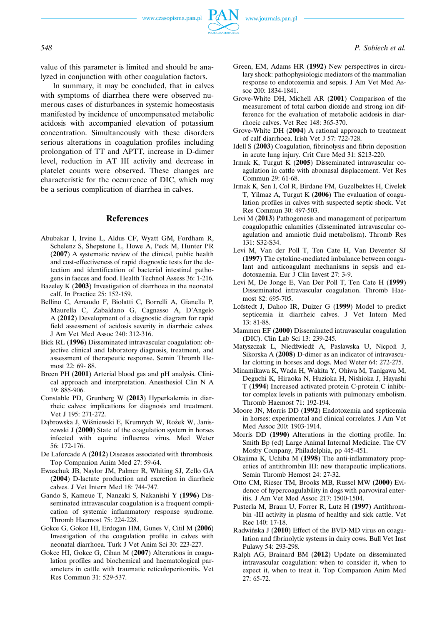value of this parameter is limited and should be analyzed in conjunction with other coagulation factors.

In summary, it may be concluded, that in calves with symptoms of diarrhea there were observed numerous cases of disturbances in systemic homeostasis manifested by incidence of uncompensated metabolic acidosis with accompanied elevation of potassium concentration. Simultaneously with these disorders serious alterations in coagulation profiles including prolongation of TT and APTT, increase in D-dimer level, reduction in AT III activity and decrease in platelet counts were observed. These changes are characteristic for the occurrence of DIC, which may be a serious complication of diarrhea in calves.

#### **References**

- Abubakar I, Irvine L, Aldus CF, Wyatt GM, Fordham R, Schelenz S, Shepstone L, Howe A, Peck M, Hunter PR (**2007**) A systematic review of the clinical, public health and cost-effectiveness of rapid diagnostic tests for the detection and identification of bacterial intestinal pathogens in faeces and food. Health Technol Assess 36: 1-216.
- Bazeley K (**2003**) Investigation of diarrhoea in the neonatal calf. In Practice 25: 152-159.
- Bellino C, Arnaudo F, Biolatti C, Borrelli A, Gianella P, Maurella C, Zabaldano G, Cagnasso A, D'Angelo A (**2012**) Development of a diagnostic diagram for rapid field assessment of acidosis severity in diarrheic calves. J Am Vet Med Assoc 240: 312-316.
- Bick RL (**1996**) Disseminated intravascular coagulation: objective clinical and laboratory diagnosis, treatment, and assessment of therapeutic response. Semin Thromb Hemost 22: 69- 88.
- Breen PH (**2001**) Arterial blood gas and pH analysis. Clinical approach and interpretation. Anesthesiol Clin N A 19: 885-906.
- Constable PD, Grunberg W (**2013**) Hyperkalemia in diarrheic calves: implications for diagnosis and treatment. Vet J 195: 271-272.
- Dąbrowska J, Wiśniewski E, Krumrych W, Rożek W, Janiszewski J (**2000**) State of the coagulation system in horses infected with equine influenza virus. Med Weter 56: 172-176.
- De Laforcade A (**2012**) Diseases associated with thrombosis. Top Companion Anim Med 27: 59-64.
- Ewaschuk JB, Naylor JM, Palmer R, Whiting SJ, Zello GA (**2004**) D-lactate production and excretion in diarrheic calves. J Vet Intern Med 18: 744-747.
- Gando S, Kameue T, Nanzaki S, Nakanishi Y (**1996**) Disseminated intravascular coagulation is a frequent complication of systemic inflammatory response syndrome. Thromb Haemost 75: 224-228.
- Gokce G, Gokce HI, Erdogan HM, Gunes V, Citil M (**2006**) Investigation of the coagulation profile in calves with neonatal diarrhoea. Turk J Vet Anim Sci 30: 223-227.
- Gokce HI, Gokce G, Cihan M (**2007**) Alterations in coagulation profiles and biochemical and haematological parameters in cattle with traumatic reticuloperitonitis. Vet Res Commun 31: 529-537.
- Green, EM, Adams HR (**1992**) New perspectives in circulary shock: pathophysiologic mediators of the mammalian response to endotoxemia and sepsis. J Am Vet Med Assoc 200: 1834-1841.
- Grove-White DH, Michell AR (**2001**) Comparison of the measurement of total carbon dioxide and strong ion difference for the evaluation of metabolic acidosis in diarrhoeic calves. Vet Rec 148: 365-370.
- Grove-White DH (**2004**) A rational approach to treatment of calf diarrhoea. Irish Vet J 57: 722-728.
- Idell S (**2003**) Coagulation, fibrinolysis and fibrin deposition in acute lung injury. Crit Care Med 31: S213-220.
- Irmak K, Turgut K (**2005**) Disseminated intravascular coagulation in cattle with abomasal displacement. Vet Res Commun 29: 61-68.
- Irmak K, Sen I, Col R, Birdane FM, Guzelbektes H, Civelek T, Yilmaz A, Turgut K (**2006**) The evaluation of coagulation profiles in calves with suspected septic shock. Vet Res Commun 30: 497-503.
- Levi M (**2013**) Pathogenesis and management of peripartum coagulopathic calamities (disseminated intravascular coagulation and amniotic fluid metabolism). Thromb Res 131: S32-S34.
- Levi M, Van der Poll T, Ten Cate H, Van Deventer SJ (**1997**) The cytokine-mediated imbalance between coagulant and anticoagulant mechanisms in sepsis and endotoxaemia. Eur J Clin Invest 27: 3-9.
- Levi M, De Jonge E, Van Der Poll T, Ten Cate H (**1999**) Disseminated intravascular coagulation. Thromb Haemost 82: 695-705.
- Lofstedt J, Dahoo IR, Duizer G (**1999**) Model to predict septicemia in diarrheic calves. J Vet Intern Med 13: 81-88.
- Mammen EF (**2000**) Disseminated intravascular coagulation (DIC). Clin Lab Sci 13: 239-245.
- Matyszczak L, Niedźwiedź A, Pasławska U, Nicpoń J, Sikorska A (**2008**) D-dimer as an indicator of intravascular clotting in horses and dogs. Med Weter 64: 272-275.
- Minamikawa K, Wada H, Wakita Y, Ohiwa M, Tanigawa M, Deguchi K, Hiraoka N, Huzioka H, Nishioka J, Hayashi T (**1994**) Increased activated protein C-protein C inhibitor complex levels in patients with pulmonary embolism. Thromb Haemost 71: 192-194.
- Moore JN, Morris DD (**1992**) Endotoxemia and septicemia in horses: experimental and clinical correlates. J Am Vet Med Assoc 200: 1903-1914.
- Morris DD (**1990**) Alterations in the clotting profile. In: Smith Bp (ed) Large Animal Internal Medicine. The CV Mosby Company, Philadelphia, pp 445-451.
- Okajima K, Uchiba M (**1998**) The anti-inflammatory properties of antithrombin III: new therapeutic implications. Semin Thromb Hemost 24: 27-32.
- Otto CM, Rieser TM, Brooks MB, Russel MW (**2000**) Evidence of hypercoagulability in dogs with parvoviral enteritis. J Am Vet Med Assoc 217: 1500-1504.
- Pusterla M, Braun U, Forrer R, Lutz H (**1997**) Antithrombin -III activity in plasma of healthy and sick cattle. Vet Rec 140: 17-18.
- Radwińska J (**2010**) Effect of the BVD-MD virus on coagulation and fibrinolytic systems in dairy cows. Bull Vet Inst Pulawy 54: 293-298.
- Ralph AG, Brainard BM (**2012**) Update on disseminated intravascular coagulation: when to consider it, when to expect it, when to treat it. Top Companion Anim Med 27: 65-72.